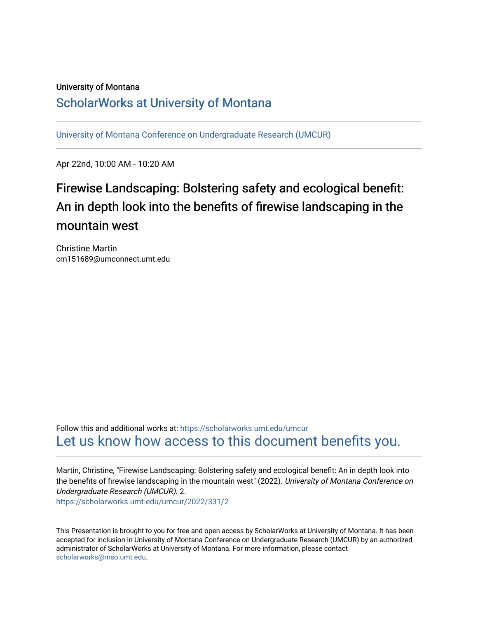## University of Montana [ScholarWorks at University of Montana](https://scholarworks.umt.edu/)

[University of Montana Conference on Undergraduate Research \(UMCUR\)](https://scholarworks.umt.edu/umcur)

Apr 22nd, 10:00 AM - 10:20 AM

## Firewise Landscaping: Bolstering safety and ecological benefit: An in depth look into the benefits of firewise landscaping in the mountain west

Christine Martin cm151689@umconnect.umt.edu

Follow this and additional works at: [https://scholarworks.umt.edu/umcur](https://scholarworks.umt.edu/umcur?utm_source=scholarworks.umt.edu%2Fumcur%2F2022%2F331%2F2&utm_medium=PDF&utm_campaign=PDFCoverPages)  [Let us know how access to this document benefits you.](https://goo.gl/forms/s2rGfXOLzz71qgsB2) 

Martin, Christine, "Firewise Landscaping: Bolstering safety and ecological benefit: An in depth look into the benefits of firewise landscaping in the mountain west" (2022). University of Montana Conference on Undergraduate Research (UMCUR). 2.

[https://scholarworks.umt.edu/umcur/2022/331/2](https://scholarworks.umt.edu/umcur/2022/331/2?utm_source=scholarworks.umt.edu%2Fumcur%2F2022%2F331%2F2&utm_medium=PDF&utm_campaign=PDFCoverPages)

This Presentation is brought to you for free and open access by ScholarWorks at University of Montana. It has been accepted for inclusion in University of Montana Conference on Undergraduate Research (UMCUR) by an authorized administrator of ScholarWorks at University of Montana. For more information, please contact [scholarworks@mso.umt.edu.](mailto:scholarworks@mso.umt.edu)